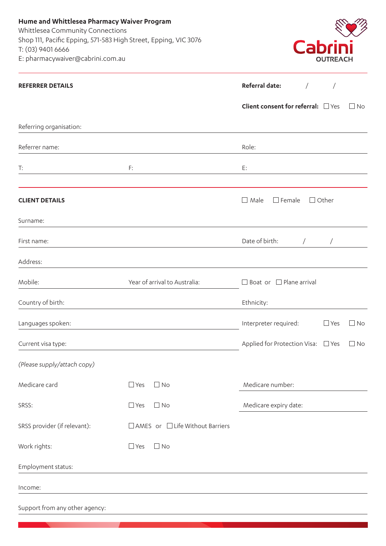**Hume and Whittlesea Pharmacy Waiver Program**  Whittlesea Community Connections Shop 111, Pacific Epping, 571-583 High Street, Epping, Vic 3076 T: (03) 9401 6666 E: pharmacywaiver@cabrini.com.au



| <b>REFERRER DETAILS</b>        |                                   | Referral date:<br>$\sqrt{2}$                     |
|--------------------------------|-----------------------------------|--------------------------------------------------|
|                                |                                   | Client consent for referral: DYes<br>$\Box$ No   |
| Referring organisation:        |                                   |                                                  |
| Referrer name:                 |                                   | Role:                                            |
| T:                             | F:                                | E:                                               |
| <b>CLIENT DETAILS</b>          |                                   | $\Box$ Male<br>$\square$ Female<br>$\Box$ Other  |
| Surname:                       |                                   |                                                  |
| First name:                    |                                   | Date of birth:<br>$\sqrt{2}$<br>$\bigg)$         |
| Address:                       |                                   |                                                  |
| Mobile:                        | Year of arrival to Australia:     | $\Box$ Boat or $\Box$ Plane arrival              |
| Country of birth:              |                                   | Ethnicity:                                       |
| Languages spoken:              |                                   | Interpreter required:<br>$\Box$ Yes<br>$\Box$ No |
| Current visa type:             |                                   | Applied for Protection Visa: □ Yes<br>$\Box$ No  |
| (Please supply/attach copy)    |                                   |                                                  |
| Medicare card                  | $\Box$ Yes<br>$\Box$ No           | Medicare number:                                 |
| SRSS:                          | $\Box$ Yes<br>$\Box$ No           | Medicare expiry date:                            |
| SRSS provider (if relevant):   | □ AMES or □ Life Without Barriers |                                                  |
| Work rights:                   | $\Box$ Yes<br>$\Box$ No           |                                                  |
| Employment status:             |                                   |                                                  |
| Income:                        |                                   |                                                  |
| Support from any other agency: |                                   |                                                  |